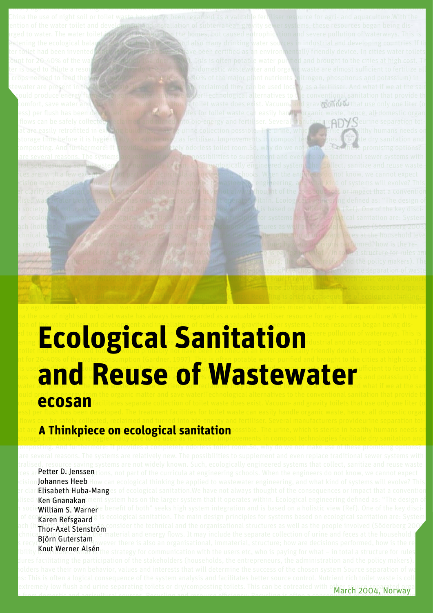

### In the use of night soil or toilet waste has always been regarded as a valuable fertiliser resource for agri- and aquaculture.With the ion of the water toilet and development and installation of subterranean gravity sever systems, these resources began being discharged to water water  $\alpha$  and  $\alpha$  and  $\alpha$  in  $\alpha$  in  $\alpha$  in the  $\alpha$  in  $\alpha$  is  $\alpha$  in  $\alpha$  is and severe pollution of waterways. This is threatening the  $\log$  of  $\log$  and  $\log$  and  $\log$  many drinking  $\log$  matrix  $\log$  many drinking  $\log$  many drinking  $\log$  many drinking  $\log$  many drinking  $\log$  many drinking  $\log$  matrix  $\log$  many drinking  $\log$ **From of School of the been invented to a served to a server and it ation in the systems, these resources began being dis-**<br>**Ecological Sanitation and developing countries. If the same of the server of the san environmenta** account for 20-40% of the water consumption (Gardner, 1997). This is often potable water purified and brought to the cities at high cost. The cost of the cost. This is often potable water purified and brought to the cities water is used to divide a resource. The original water and organization of the nutrients in domestic waste and organization of the nutrient to fertilize all the crops need to feed to feed to  $\mathbf{S}$  and  $\mathbf{S}$  as  $\mathbf{A}$  of  $\mathbf{S}$  and  $\mathbf{S}$  and potassium) in **and Reuse of Wastewater** and potential and in time could produce energy from the organic matter and save water!Technological alternatives to the conventional sanitation that provide the conventional sanitation that provide the same compressing the organic matter and save water!Technological alternatives to the conventional sanitation that provide the compression of toilets that use only one liter (or and gravity toilets that use only one liter (

 $\frac{1}{2}$  century ago toilet waste or night soil was collected in the major European cities, sometimes mixed with peat or lime, and used as fertilise

ess) per flush has been developed. The treatment facilities for toilet waste can easily handle organic waste, hence, all domestic organic

#### **Thows can be safely collected, reclaimed and turned into bio-energy and fertiliser. Several manufacturers provideurine separation toi-Lets that are A. Thinkniece on ecological sanitation possible.** The urine, which is sterile in healthy humans needs on store **A Thinkpiece on ecological sanitation** possible. The urine, which is sterile in healthy humans needs on<br>**Storage time before it is hygienically safe to be used as fertiliser. Improve**ments in compost technologies fa

fecal composting. And furthermore: It provides a completely odorless toilet room.So, why do we not make use of these promising options? There are several reasons. The systems are relatively new. The possibilities to supplement and even replace traditional sewer systems with  $t$ ralised, resource saving systems are not widely known. Such, ecologically engineered systems that collect, sanitize and reuse waste res are, etter D. Jenssentions, not part of the curricula at engineering schools. When the engineers do not know, we cannot expect crision Johannes Heeb. How can ecological thinking be applied to wastewater engineering, and what kind of systems will evolve? This er clari**Elisabeth Huba-Mang**es of ecological sanitation.We have not always thought of the consequences or impact that a convention **Centralised WenGnanakan**tment system has on the larger system that it operates within. Ecological engineering defined as: "The design of **h** socie**William S. Warner** benefit of both" seeks high system integration and is based on a holistic view (Ref). One of the key disci-**Fluines of ecological Refsgaard** g is ecological sanitation. The main design principles for systems based on ecological sanitation are: System are: System and the color of the color of the color of the color of the color ach (holistic): The technical and the organisational structures as well as the people involved (Söderberg 2003). **The technical structure shows the material and energy flows. It may include the separate collection of urine and feces at the household level** and its recycling to fertiliser. However there is also an organisational, immaterial, structure; how are decisions performed, how is the responsibility **OISUT IPET AIS IT** the strategy for communication with the users etc, who is paying for what – in total a structure for rules procedures facilitating the participation of the stakeholders (households, the entrepreneurs, the administration and the policy makers). The  $\sim$  $\sim$  holders have their own behavior, values and interests that will determine the success of the chosen system Source separation of wa $\sim$ straights: This is often a logical consequence of the system analysis and facilitates better source control. Nutrient rich toilet waste is collected to the collected of the system and y six and facilitates better source c using extremely low flush and urine separating toilets or dry/composting toilets. This can be cotreated with other source separated organics March 2004, Björn Guterstam Knut Werner Alsén

was testic and agricultural sources. Requaling and resource efficiency: Requaling is often a conseq**uence of a c**onseq**uence** of  $\mathbf{r}_i$  that  $\mathbf{w}_i$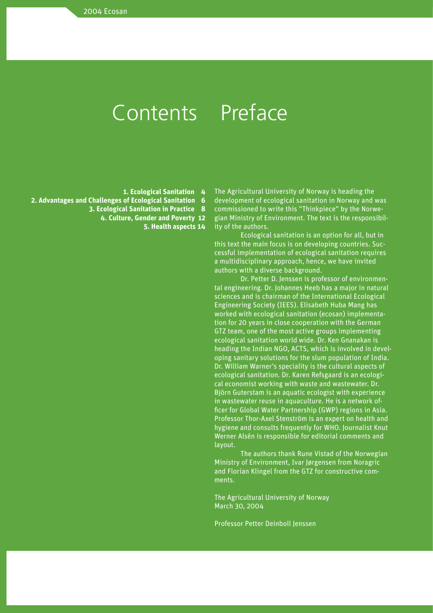## Contents Preface

**1. Ecological Sanitation 4** 

**2. Advantages and Challenges of Ecological Sanitation 6**

**3. Ecological Sanitation in Practice 8**

**4. Culture, Gender and Poverty 12**

**5. Health aspects 14**

The Agricultural University of Norway is heading the development of ecological sanitation in Norway and was commissioned to write this "Thinkpiece" by the Norwegian Ministry of Environment. The text is the responsibility of the authors.

Ecological sanitation is an option for all, but in this text the main focus is on developing countries. Successful implementation of ecological sanitation requires a multidisciplinary approach, hence, we have invited authors with a diverse background.

Dr. Petter D. Jenssen is professor of environmental engineering. Dr. Johannes Heeb has a major in natural sciences and is chairman of the International Ecological Engineering Society (IEES). Elisabeth Huba Mang has worked with ecological sanitation (ecosan) implementation for 20 years in close cooperation with the German GTZ team, one of the most active groups implementing ecological sanitation world wide. Dr. Ken Gnanakan is heading the Indian NGO, ACTS, which is involved in developing sanitary solutions for the slum population of India. Dr. William Warner's speciality is the cultural aspects of ecological sanitation. Dr. Karen Refsgaard is an ecological economist working with waste and wastewater. Dr. Björn Guterstam is an aquatic ecologist with experience in wastewater reuse in aquaculture. He is a network officer for Global Water Partnership (GWP) regions in Asia. Professor Thor-Axel Stenström is an expert on health and hygiene and consults frequently for WHO. Journalist Knut Werner Alsén is responsible for editorial comments and layout.

The authors thank Rune Vistad of the Norwegian Ministry of Environment, Ivar Jørgensen from Noragric and Florian Klingel from the GTZ for constructive comments.

The Agricultural University of Norway March 30, 2004

Professor Petter Deinboll Jenssen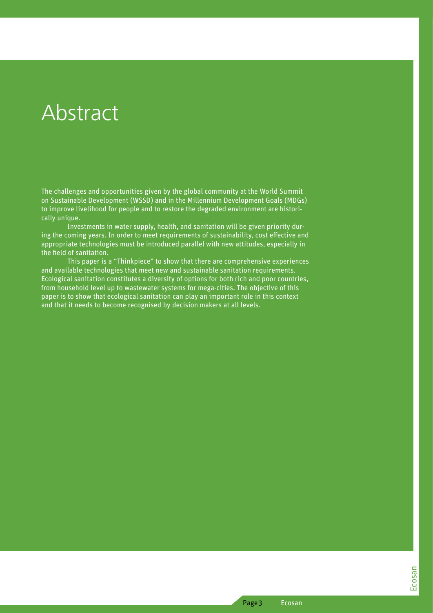## **Abstract**

The challenges and opportunities given by the global community at the World Summit on Sustainable Development (WSSD) and in the Millennium Development Goals (MDGs) to improve livelihood for people and to restore the degraded environment are historically unique.

Investments in water supply, health, and sanitation will be given priority during the coming years. In order to meet requirements of sustainability, cost effective and appropriate technologies must be introduced parallel with new attitudes, especially in the field of sanitation.

This paper is a "Thinkpiece" to show that there are comprehensive experiences and available technologies that meet new and sustainable sanitation requirements. Ecological sanitation constitutes a diversity of options for both rich and poor countries, from household level up to wastewater systems for mega-cities. The objective of this paper is to show that ecological sanitation can play an important role in this context and that it needs to become recognised by decision makers at all levels.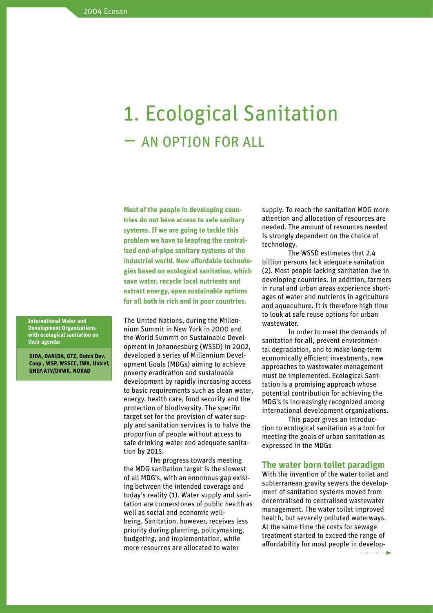# 1. Ecological Sanitation – AN OPTION FOR ALL

**Most of the people in developing countries do not have access to safe sanitary systems. If we are going to tackle this problem we have to leapfrog the centralised end-of-pipe sanitary systems of the industrial world. New affordable technologies based on ecological sanitation, which save water, recycle local nutrients and extract energy, open sustainable options for all both in rich and in poor countries.**

The United Nations, during the Millennium Summit in New York in 2000 and the World Summit on Sustainable Development in Johannesburg (WSSD) in 2002, developed a series of Millennium Development Goals (MDGs) aiming to achieve poverty eradication and sustainable development by rapidly increasing access to basic requirements such as clean water, energy, health care, food security and the protection of biodiversity. The specific target set for the provision of water supply and sanitation services is to halve the proportion of people without access to safe drinking water and adequate sanitation by 2015.

The progress towards meeting the MDG sanitation target is the slowest of all MDG's, with an enormous gap existing between the intended coverage and today's reality (1). Water supply and sanitation are cornerstones of public health as well as social and economic wellbeing. Sanitation, however, receives less priority during planning, policymaking, budgeting, and implementation, while more resources are allocated to water

supply. To reach the sanitation MDG more attention and allocation of resources are needed. The amount of resources needed is strongly dependent on the choice of technology.

The WSSD estimates that 2.4 billion persons lack adequate sanitation (2). Most people lacking sanitation live in developing countries. In addition, farmers in rural and urban areas experience shortages of water and nutrients in agriculture and aquaculture. It is therefore high time to look at safe reuse options for urban wastewater.

In order to meet the demands of sanitation for all, prevent environmental degradation, and to make long-term economically efficient investments, new approaches to wastewater management must be implemented. Ecological Sanitation is a promising approach whose potential contribution for achieving the MDG's is increasingly recognized among international development organizations.

This paper gives an introduction to ecological sanitation as a tool for meeting the goals of urban sanitation as expressed in the MDGs

### **The water born toilet paradigm**

With the invention of the water toilet and subterranean gravity sewers the development of sanitation systems moved from decentralised to centralised wastewater management. The water toilet improved health, but severely polluted waterways. At the same time the costs for sewage treatment started to exceed the range of affordability for most people in develop-

**International Water and Development Organizations with ecological sanitation on their agenda:** 

**SIDA, DANIDA, GTZ, Dutch Dev. Coop., WSP, WSSCC, IWA, Unicef, UNEP,ATV/DVWK, NORAD**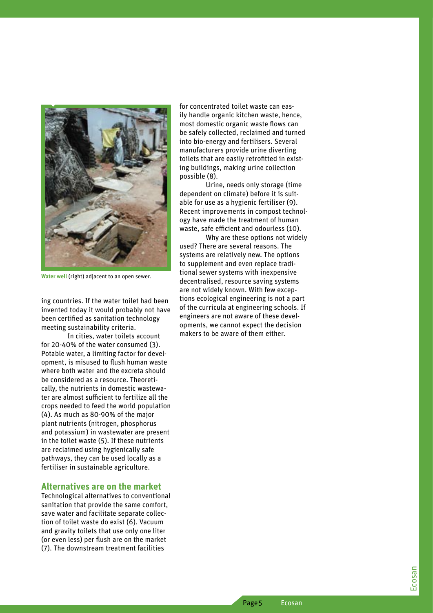

**Water well** (right) adjacent to an open sewer.

ing countries. If the water toilet had been invented today it would probably not have been certified as sanitation technology meeting sustainability criteria.

In cities, water toilets account for 20-40% of the water consumed (3). Potable water, a limiting factor for devel opment, is misused to flush human waste where both water and the excreta should be considered as a resource. Theoreti cally, the nutrients in domestic wastewa ter are almost sufficient to fertilize all the crops needed to feed the world population (4). As much as 80-90% of the major plant nutrients (nitrogen, phosphorus and potassium) in wastewater are present in the toilet waste (5). If these nutrients are reclaimed using hygienically safe pathways, they can be used locally as a fertiliser in sustainable agriculture.

#### **Alternatives are on the market**

Technological alternatives to conventional sanitation that provide the same comfort, save water and facilitate separate collec tion of toilet waste do exist (6). Vacuum and gravity toilets that use only one liter (or even less) per flush are on the market (7). The downstream treatment facilities

for concentrated toilet waste can eas ily handle organic kitchen waste, hence, most domestic organic waste flows can be safely collected, reclaimed and turned into bio-energy and fertilisers. Several manufacturers provide urine diverting toilets that are easily retrofitted in exist ing buildings, making urine collection possible (8).

Urine, needs only storage (time dependent on climate) before it is suit able for use as a hygienic fertiliser (9). Recent improvements in compost technol ogy have made the treatment of human waste, safe efficient and odourless (10).

Why are these options not widely used? There are several reasons. The systems are relatively new. The options to supplement and even replace tradi tional sewer systems with inexpensive decentralised, resource saving systems are not widely known. With few excep tions ecological engineering is not a part of the curricula at engineering schools. If engineers are not aware of these devel opments, we cannot expect the decision makers to be aware of them either.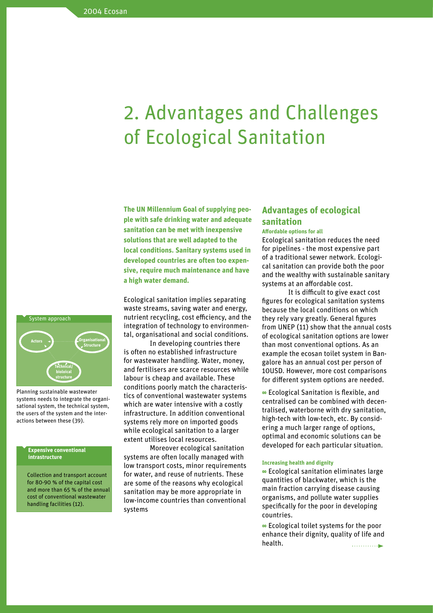## 2. Advantages and Challenges of Ecological Sanitation

**The UN Millennium Goal of supplying people with safe drinking water and adequate sanitation can be met with inexpensive solutions that are well adapted to the local conditions. Sanitary systems used in developed countries are often too expensive, require much maintenance and have a high water demand.** 

Ecological sanitation implies separating waste streams, saving water and energy, nutrient recycling, cost efficiency, and the integration of technology to environmental, organisational and social conditions.

In developing countries there is often no established infrastructure for wastewater handling. Water, money, and fertilisers are scarce resources while labour is cheap and available. These conditions poorly match the characteristics of conventional wastewater systems which are water intensive with a costly infrastructure. In addition conventional systems rely more on imported goods while ecological sanitation to a larger extent utilises local resources.

Moreover ecological sanitation systems are often locally managed with low transport costs, minor requirements for water, and reuse of nutrients. These are some of the reasons why ecological sanitation may be more appropriate in low-income countries than conventional systems

### **Advantages of ecological sanitation**

#### **Affordable options for all**

Ecological sanitation reduces the need for pipelines - the most expensive part of a traditional sewer network. Ecological sanitation can provide both the poor and the wealthy with sustainable sanitary systems at an affordable cost.

It is difficult to give exact cost figures for ecological sanitation systems because the local conditions on which they rely vary greatly. General figures from UNEP (11) show that the annual costs of ecological sanitation options are lower than most conventional options. As an example the ecosan toilet system in Bangalore has an annual cost per person of 10USD. However, more cost comparisons for different system options are needed.

**8** Ecological Sanitation is flexible, and centralised can be combined with decentralised, waterborne with dry sanitation, high-tech with low-tech, etc. By considering a much larger range of options, optimal and economic solutions can be developed for each particular situation.

#### **Increasing health and dignity**

**8** Ecological sanitation eliminates large quantities of blackwater, which is the main fraction carrying disease causing organisms, and pollute water supplies specifically for the poor in developing countries.

**8** Ecological toilet systems for the poor enhance their dignity, quality of life and health.  $\ldots$  . . . . . . . . . .  $\blacktriangleright$ 



Planning sustainable wastewater systems needs to integrate the organisational system, the technical system, the users of the system and the interactions between these (39).

#### **Expensive conventional intrastructure**

Collection and transport account for 80-90 % of the capital cost and more than 65 % of the annual cost of conventional wastewater handling facilities (12).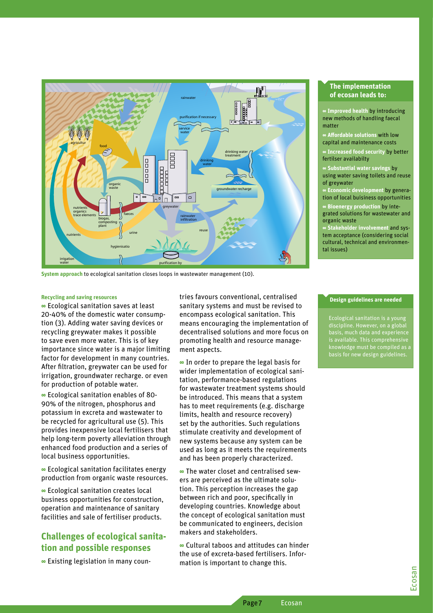

System approach to ecological sanitation closes loops in wastewater management (10).

#### **Recycling and saving resources**

■ Ecological sanitation saves at least 20-40% of the domestic water consumption (3). Adding water saving devices or recycling greywater makes it possible to save even more water. This is of key importance since water is a major limiting factor for development in many countries. After filtration, greywater can be used for irrigation, groundwater recharge. or even for production of potable water.

· Ecological sanitation enables of 80-90% of the nitrogen, phosphorus and potassium in excreta and wastewater to be recycled for agricultural use (5). This provides inexpensive local fertilisers that help long-term poverty alleviation through enhanced food production and a series of local business opportunities.

• Ecological sanitation facilitates energy production from organic waste resources.

■ Ecological sanitation creates local business opportunities for construction, operation and maintenance of sanitary facilities and sale of fertiliser products.

## **Challenges of ecological sanita**tion and possible responses

· Existing legislation in many coun-

tries favours conventional, centralised sanitary systems and must be revised to encompass ecological sanitation. This means encouraging the implementation of decentralised solutions and more focus on promoting health and resource management aspects.

• In order to prepare the legal basis for wider implementation of ecological sanitation, performance-based regulations for wastewater treatment systems should be introduced. This means that a system has to meet requirements (e.g. discharge limits, health and resource recovery) set by the authorities. Such regulations stimulate creativity and development of new systems because any system can be used as long as it meets the requirements and has been properly characterized.

• The water closet and centralised sewers are perceived as the ultimate solution. This perception increases the gap between rich and poor, specifically in developing countries. Knowledge about the concept of ecological sanitation must be communicated to engineers, decision makers and stakeholders.

· Cultural taboos and attitudes can hinder the use of excreta-based fertilisers. Information is important to change this.

Page 7

#### The implementation of ecosan leads to:

**Improved health by introducing** new methods of handling faecal matter

**Affordable solutions with low** capital and maintenance costs

**Increased food security by better** • fertilser availabilty

**Substantial water savings by** using water saving toilets and reuse of greywater

**Economic development by genera**tion of local buisiness opportunities

**∞ Bioenergy production by inte**grated solutions for wastewater and organic waste

**Stakeholder involvement and sys**tem acceptance (considering social cultural, technical and environmental issues)

#### Design guidelines are needed

Ecological sanitation is a young discipline. However, on a global basis, much data and experience is available. This comprehensive<br>knowledge must be compiled as<br>basis for new design guidelines.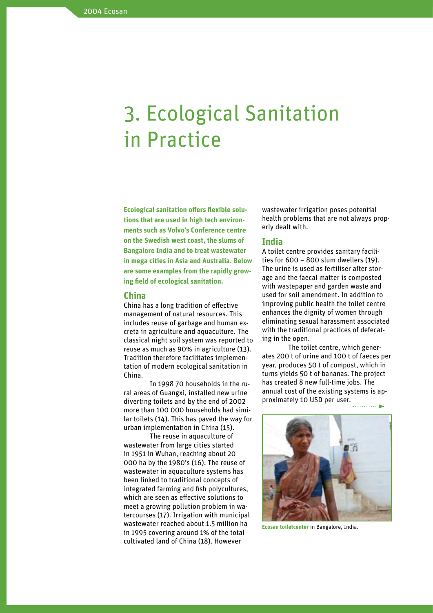# 3. Ecological Sanitation in Practice

**Ecological sanitation offers flexible solutions that are used in high tech environments such as Volvo's Conference centre on the Swedish west coast, the slums of Bangalore India and to treat wastewater in mega cities in Asia and Australia. Below are some examples from the rapidly growing field of ecological sanitation.**

#### **China**

China has a long tradition of effective management of natural resources. This includes reuse of garbage and human excreta in agriculture and aquaculture. The classical night soil system was reported to reuse as much as 90% in agriculture (13). Tradition therefore facilitates implementation of modern ecological sanitation in China.

In 1998 70 households in the rural areas of Guangxi, installed new urine diverting toilets and by the end of 2002 more than 100 000 households had similar toilets (14). This has paved the way for urban implementation in China (15).

The reuse in aquaculture of wastewater from large cities started in 1951 in Wuhan, reaching about 20 000 ha by the 1980's (16). The reuse of wastewater in aquaculture systems has been linked to traditional concepts of integrated farming and fish polycultures, which are seen as effective solutions to meet a growing pollution problem in watercourses (17). Irrigation with municipal wastewater reached about 1.5 million ha in 1995 covering around 1% of the total cultivated land of China (18). However

wastewater irrigation poses potential health problems that are not always properly dealt with.

#### **India**

A toilet centre provides sanitary facilities for 600 – 800 slum dwellers (19). The urine is used as fertiliser after storage and the faecal matter is composted with wastepaper and garden waste and used for soil amendment. In addition to improving public health the toilet centre enhances the dignity of women through eliminating sexual harassment associated with the traditional practices of defecating in the open.

The toilet centre, which generates 200 t of urine and 100 t of faeces per year, produces 50 t of compost, which in turns yields 50 t of bananas. The project has created 8 new full-time jobs. The annual cost of the existing systems is approximately 10 USD per user.



**Ecosan toiletcenter** in Bangalore, India.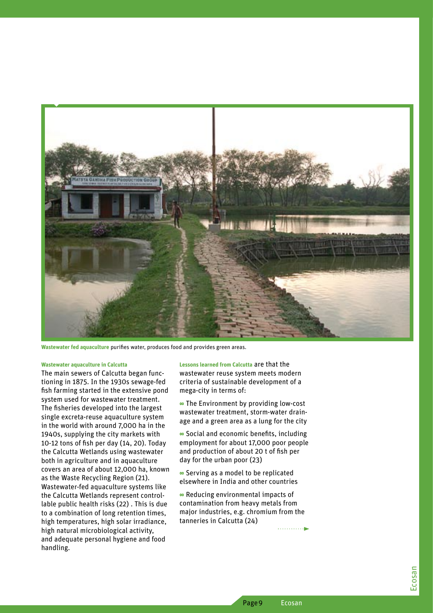

**Wastewater fed aquaculture** purifies water, produces food and provides green areas.

#### **Wastewater aquaculture in Calcutta**

The main sewers of Calcutta began func tioning in 1875. In the 1930s sewage-fed fish farming started in the extensive pond system used for wastewater treatment. The fisheries developed into the largest single excreta-reuse aquaculture system in the world with around 7,000 ha in the 1940s, supplying the city markets with 10-12 tons of fish per day (14, 20). Today the Calcutta Wetlands using wastewater both in agriculture and in aquaculture covers an area of about 12,000 ha, known as the Waste Recycling Region (21). Wastewater-fed aquaculture systems like the Calcutta Wetlands represent control lable public health risks (22) . This is due to a combination of long retention times, high temperatures, high solar irradiance, high natural microbiological activity, and adequate personal hygiene and food handling.

**Lessons learned from Calcutta** are that the wastewater reuse system meets modern criteria of sustainable development of a mega-city in terms of:

**8** The Environment by providing low-cost wastewater treatment, storm-water drain age and a green area as a lung for the city

**8** Social and economic benefits, including employment for about 17,000 poor people and production of about 20 t of fish per day for the urban poor (23)

**8** Serving as a model to be replicated elsewhere in India and other countries

**8** Reducing environmental impacts of contamination from heavy metals from major industries, e.g. chromium from the tanneries in Calcutta (24)

Page 9 Ecosan

. . . . . . . . . . . . . .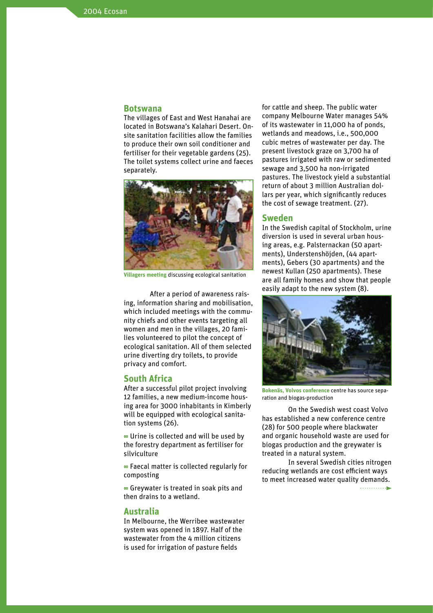### **Botswana**

The villages of East and West Hanahai are located in Botswana's Kalahari Desert. Onsite sanitation facilities allow the families to produce their own soil conditioner and fertiliser for their vegetable gardens (25). The toilet systems collect urine and faeces separately.



**Villagers meeting** discussing ecological sanitation

After a period of awareness raising, information sharing and mobilisation, which included meetings with the community chiefs and other events targeting all women and men in the villages, 20 families volunteered to pilot the concept of ecological sanitation. All of them selected urine diverting dry toilets, to provide privacy and comfort.

### **South Africa**

After a successful pilot project involving 12 families, a new medium-income housing area for 3000 inhabitants in Kimberly will be equipped with ecological sanitation systems (26).

**8** Urine is collected and will be used by the forestry department as fertiliser for silviculture

**8** Faecal matter is collected regularly for composting

**8** Greywater is treated in soak pits and then drains to a wetland.

#### **Australia**

In Melbourne, the Werribee wastewater system was opened in 1897. Half of the wastewater from the 4 million citizens is used for irrigation of pasture fields

for cattle and sheep. The public water company Melbourne Water manages 54% of its wastewater in 11,000 ha of ponds, wetlands and meadows, i.e., 500,000 cubic metres of wastewater per day. The present livestock graze on 3,700 ha of pastures irrigated with raw or sedimented sewage and 3,500 ha non-irrigated pastures. The livestock yield a substantial return of about 3 million Australian dollars per year, which significantly reduces the cost of sewage treatment. (27).

#### **Sweden**

In the Swedish capital of Stockholm, urine diversion is used in several urban housing areas, e.g. Palsternackan (50 apartments), Understenshöjden, (44 apartments), Gebers (30 apartments) and the newest Kullan (250 apartments). These are all family homes and show that people easily adapt to the new system (8).



**Bokenäs, Volvos conference** centre has source separation and biogas-production

On the Swedish west coast Volvo has established a new conference centre (28) for 500 people where blackwater and organic household waste are used for biogas production and the greywater is treated in a natural system.

In several Swedish cities nitrogen reducing wetlands are cost efficient ways to meet increased water quality demands.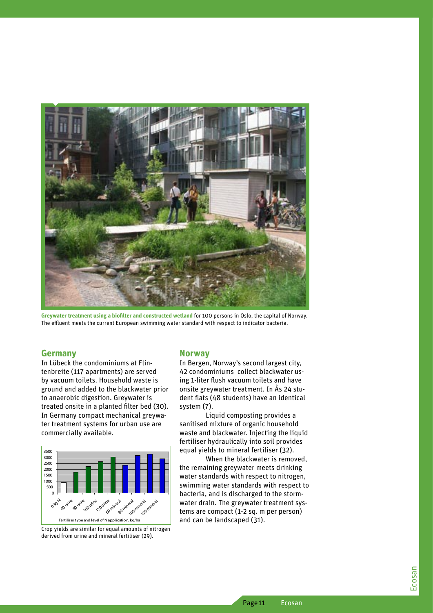

Greywater treatment using a biofilter and constructed wetland for 100 persons in Oslo, the capital of Norway. The effluent meets the current European swimming water standard with respect to indicator bacteria.

#### **Germany**

In Lübeck the condominiums at Flintenbreite (117 apartments) are served by vacuum toilets. Household waste is ground and added to the blackwater prior to anaerobic digestion. Greywater is treated onsite in a planted filter bed (30). In Germany compact mechanical greywater treatment systems for urban use are commercially available.



Crop yields are similar for equal amounts of nitrogen derived from urine and mineral fertiliser (29).

### **Norway**

In Bergen, Norway's second largest city, 42 condominiums collect blackwater using 1-liter flush vacuum toilets and have onsite greywater treatment. In Ås 24 student flats (48 students) have an identical system (7).

Liquid composting provides a sanitised mixture of organic household waste and blackwater. Injecting the liquid fertiliser hydraulically into soil provides equal yields to mineral fertiliser (32).

When the blackwater is removed. the remaining grevwater meets drinking water standards with respect to nitrogen. swimming water standards with respect to bacteria, and is discharged to the stormwater drain. The greywater treatment systems are compact (1-2 sq. m per person) and can be landscaped (31).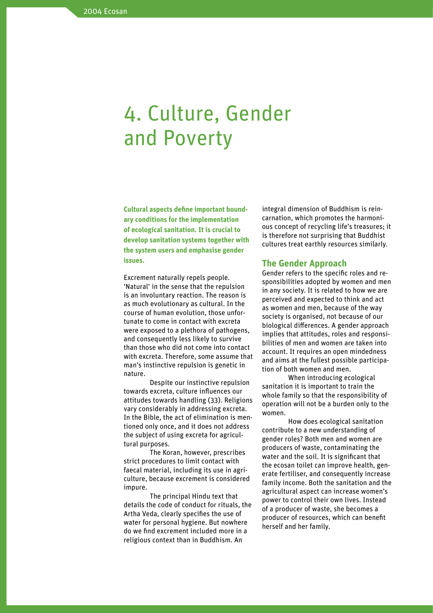## 4. Culture, Gender and Poverty

**Cultural aspects define important boundary conditions for the implementation of ecological sanitation. It is crucial to develop sanitation systems together with the system users and emphasise gender issues.**

Excrement naturally repels people. 'Natural' in the sense that the repulsion is an involuntary reaction. The reason is as much evolutionary as cultural. In the course of human evolution, those unfortunate to come in contact with excreta were exposed to a plethora of pathogens, and consequently less likely to survive than those who did not come into contact with excreta. Therefore, some assume that man's instinctive repulsion is genetic in nature.

Despite our instinctive repulsion towards excreta, culture influences our attitudes towards handling (33). Religions vary considerably in addressing excreta. In the Bible, the act of elimination is mentioned only once, and it does not address the subject of using excreta for agricultural purposes.

The Koran, however, prescribes strict procedures to limit contact with faecal material, including its use in agriculture, because excrement is considered impure.

The principal Hindu text that details the code of conduct for rituals, the Artha Veda, clearly specifies the use of water for personal hygiene. But nowhere do we find excrement included more in a religious context than in Buddhism. An

integral dimension of Buddhism is reincarnation, which promotes the harmonious concept of recycling life's treasures; it is therefore not surprising that Buddhist cultures treat earthly resources similarly.

#### **The Gender Approach**

Gender refers to the specific roles and responsibilities adopted by women and men in any society. It is related to how we are perceived and expected to think and act as women and men, because of the way society is organised, not because of our biological differences. A gender approach implies that attitudes, roles and responsibilities of men and women are taken into account. It requires an open mindedness and aims at the fullest possible participation of both women and men.

When introducing ecological sanitation it is important to train the whole family so that the responsibility of operation will not be a burden only to the women.

How does ecological sanitation contribute to a new understanding of gender roles? Both men and women are producers of waste, contaminating the water and the soil. It is significant that the ecosan toilet can improve health, generate fertiliser, and consequently increase family income. Both the sanitation and the agricultural aspect can increase women's power to control their own lives. Instead of a producer of waste, she becomes a producer of resources, which can benefit herself and her family.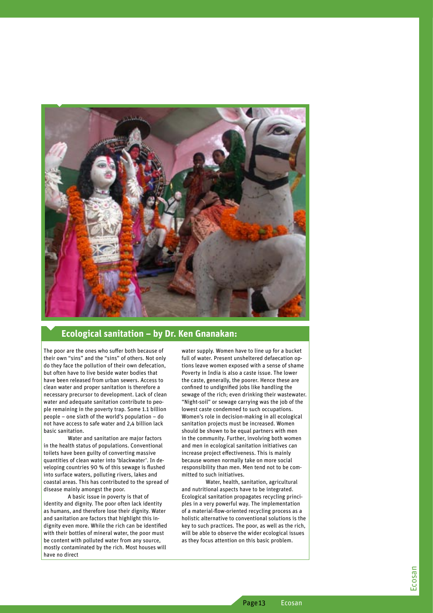

### **Ecological sanitation – by Dr. Ken Gnanakan:**

The poor are the ones who suffer both because of their own "sins" and the "sins" of others. Not only do they face the pollution of their own defecation, but often have to live beside water bodies that have been released from urban sewers. Access to clean water and proper sanitation is therefore a necessary precursor to development. Lack of clean water and adequate sanitation contribute to peo ple remaining in the poverty trap. Some 1.1 billion people – one sixth of the world's population – do not have access to safe water and 2,4 billion lack basic sanitation.

Water and sanitation are major factors in the health status of populations. Conventional toilets have been guilty of converting massive quantities of clean water into 'blackwater'. In de veloping countries 90 % of this sewage is flushed into surface waters, polluting rivers, lakes and coastal areas. This has contributed to the spread of disease mainly amongst the poor.

A basic issue in poverty is that of identity and dignity. The poor often lack identity as humans, and therefore lose their dignity. Water and sanitation are factors that highlight this in dignity even more. While the rich can be identified with their bottles of mineral water, the poor must be content with polluted water from any source, mostly contaminated by the rich. Most houses will have no direct

water supply. Women have to line up for a bucket full of water. Present unsheltered defaecation op tions leave women exposed with a sense of shame Poverty in India is also a caste issue. The lower the caste, generally, the poorer. Hence these are confined to undignified jobs like handling the sewage of the rich; even drinking their wastewater. "Night-soil" or sewage carrying was the job of the lowest caste condemned to such occupations. Women's role in decision-making in all ecological sanitation projects must be increased. Women should be shown to be equal partners with men in the community. Further, involving both women and men in ecological sanitation initiatives can increase project effectiveness. This is mainly because women normally take on more social responsibility than men. Men tend not to be com mitted to such initiatives.

Water, health, sanitation, agricultural and nutritional aspects have to be integrated. Ecological sanitation propagates recycling princi ples in a very powerful way. The implementation of a material-flow-oriented recycling process as a holistic alternative to conventional solutions is the key to such practices. The poor, as well as the rich, will be able to observe the wider ecological issues as they focus attention on this basic problem.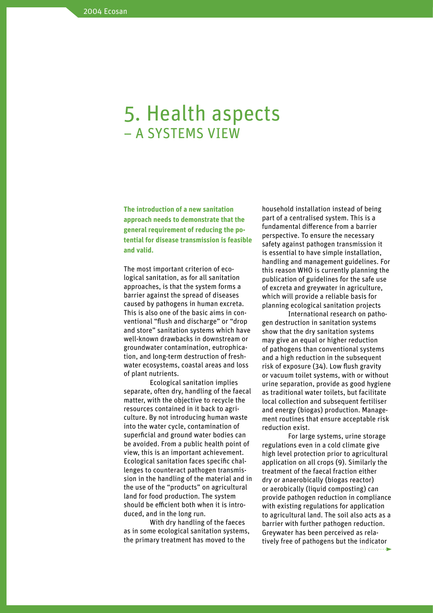## 5. Health aspects – A SYSTEMS VIEW

**The introduction of a new sanitation approach needs to demonstrate that the general requirement of reducing the potential for disease transmission is feasible and valid.** 

The most important criterion of ecological sanitation, as for all sanitation approaches, is that the system forms a barrier against the spread of diseases caused by pathogens in human excreta. This is also one of the basic aims in conventional "flush and discharge" or "drop and store" sanitation systems which have well-known drawbacks in downstream or groundwater contamination, eutrophication, and long-term destruction of freshwater ecosystems, coastal areas and loss of plant nutrients.

Ecological sanitation implies separate, often dry, handling of the faecal matter, with the objective to recycle the resources contained in it back to agriculture. By not introducing human waste into the water cycle, contamination of superficial and ground water bodies can be avoided. From a public health point of view, this is an important achievement. Ecological sanitation faces specific challenges to counteract pathogen transmission in the handling of the material and in the use of the "products" on agricultural land for food production. The system should be efficient both when it is introduced, and in the long run.

With dry handling of the faeces as in some ecological sanitation systems, the primary treatment has moved to the

household installation instead of being part of a centralised system. This is a fundamental difference from a barrier perspective. To ensure the necessary safety against pathogen transmission it is essential to have simple installation, handling and management guidelines. For this reason WHO is currently planning the publication of guidelines for the safe use of excreta and greywater in agriculture, which will provide a reliable basis for planning ecological sanitation projects

International research on pathogen destruction in sanitation systems show that the dry sanitation systems may give an equal or higher reduction of pathogens than conventional systems and a high reduction in the subsequent risk of exposure (34). Low flush gravity or vacuum toilet systems, with or without urine separation, provide as good hygiene as traditional water toilets, but facilitate local collection and subsequent fertiliser and energy (biogas) production. Management routines that ensure acceptable risk reduction exist.

For large systems, urine storage regulations even in a cold climate give high level protection prior to agricultural application on all crops (9). Similarly the treatment of the faecal fraction either dry or anaerobically (biogas reactor) or aerobically (liquid composting) can provide pathogen reduction in compliance with existing regulations for application to agricultural land. The soil also acts as a barrier with further pathogen reduction. Greywater has been perceived as relatively free of pathogens but the indicator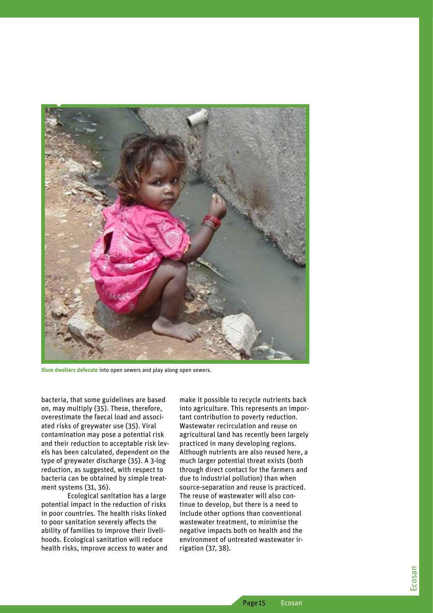

**Slum dwellers defecate** into open sewers and play along open sewers.

bacteria, that some guidelines are based on, may multiply (35). These, therefore, overestimate the faecal load and associated risks of greywater use (35). Viral contamination may pose a potential risk and their reduction to acceptable risk levels has been calculated, dependent on the type of greywater discharge (35). A 3-log reduction, as suggested, with respect to bacteria can be obtained by simple treatment systems (31, 36).

Ecological sanitation has a large potential impact in the reduction of risks in poor countries. The health risks linked to poor sanitation severely affects the ability of families to improve their livelihoods. Ecological sanitation will reduce health risks, improve access to water and

make it possible to recycle nutrients back into agriculture. This represents an important contribution to poverty reduction. Wastewater recirculation and reuse on agricultural land has recently been largely practiced in many developing regions. Although nutrients are also reused here, a much larger potential threat exists (both through direct contact for the farmers and due to industrial pollution) than when source-separation and reuse is practiced. The reuse of wastewater will also continue to develop, but there is a need to include other options than conventional wastewater treatment, to minimise the negative impacts both on health and the environment of untreated wastewater irrigation (37, 38).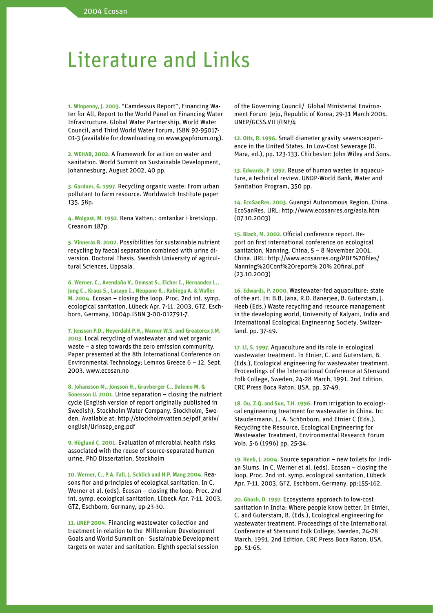## Literature and Links

**1. Winpenny, J. 2003.** "Camdessus Report", Financing Water for All, Report to the World Panel on Financing Water Infrastructure. Global Water Partnership, World Water Council, and Third World Water Forum, ISBN 92-95017- 01-3 (available for downloading on www.gwpforum.org).

**2. WEHAB, 2002.** A framework for action on water and sanitation. World Summit on Sustainable Development, Johannesburg, August 2002, 40 pp.

**3. Gardner, G. 1997.** Recycling organic waste: From urban pollutant to farm resource. Worldwatch Institute paper 135. 58p.

**4. Wolgast, M. 1992.** Rena Vatten.: omtankar i kretslopp. Creanom 187p.

**5. Vinnerås B. 2002.** Possibilities for sustainable nutrient recycling by faecal separation combined with urine diversion. Doctoral Thesis. Swedish University of agricultural Sciences, Uppsala.

**6. Werner. C., Avendaño V., Demsat S., Eicher I., Hernandez L., Jung C., Kraus S., Lacayo I., Neupane K., Rabiega A. & Wafler M. 2004.** Ecosan – closing the loop. Proc. 2nd int. symp. ecological sanitation, Lübeck Apr. 7-11. 2003, GTZ, Eschborn, Germany, 1004p.ISBN 3-00-012791-7.

**7. Jenssen P.D., Heyerdahl P.H., Warner W.S. and Greatorex J.M. 2003.** Local recycling of wastewater and wet organic waste – a step towards the zero emission community. Paper presented at the 8th International Conference on Environmental Technology; Lemnos Greece 6 – 12. Sept. 2003. www.ecosan.no

**8. Johansson M., Jönsson H., Gruvberger C., Dalemo M. & Sonesson U. 2001.** Urine separation – closing the nutrient cycle (English version of report originally published in Swedish). Stockholm Water Company. Stockholm, Sweden. Available at: http://stockholmvatten.se/pdf\_arkiv/ english/Urinsep\_eng.pdf

**9. Höglund C. 2001.** Evaluation of microbial health risks associated with the reuse of source-separated human urine. PhD Dissertation, Stockholm

**10. Werner, C., P.A. Fall, J. Schlick and H.P. Mang 2004.** Reasons fior and principles of ecological sanitation. In C. Werner et al. (eds). Ecosan – closing the loop. Proc. 2nd int. symp. ecological sanitation, Lübeck Apr. 7-11. 2003, GTZ, Eschborn, Germany, pp-23-30.

**11. UNEP 2004.** Financing wastewater collection and treatment in relation to the Millennium Development Goals and World Summit on Sustainable Development targets on water and sanitation. Eighth special session

of the Governing Council/ Global Ministerial Environment Forum Jeju, Republic of Korea, 29-31 March 2004. UNEP/GCSS.VIII/INF/4

**12. Otis, R. 1996.** Small diameter gravity sewers:experience in the United States. In Low-Cost Sewerage (D. Mara, ed.), pp. 123-133. Chichester: John Wiley and Sons.

**13. Edwards, P. 1992.** Reuse of human wastes in aquaculture, a technical review. UNDP-World Bank, Water and Sanitation Program, 350 pp.

**14. EcoSanRes. 2003.** Guangxi Autonomous Region, China. EcoSanRes. URL: http://www.ecosanres.org/asia.htm (07.10.2003)

**15. Black, M. 2002.** Official conference report. Report on first international conference on ecological sanitation, Nanning, China, 5 – 8 November 2001. China. URL: http://www.ecosanres.org/PDF%20files/ Nanning%20Conf%20report% 20% 20final.pdf (23.10.2003)

**16. Edwards, P. 2000.** Wastewater-fed aquaculture: state of the art. In: B.B. Jana, R.D. Banerjee, B. Guterstam, J. Heeb (Eds.) Waste recycling and resource management in the developing world, University of Kalyani, India and International Ecological Engineering Society, Switzerland. pp. 37-49.

**17. Li, S. 1997.** Aquaculture and its role in ecological wastewater treatment. In Etnier, C. and Guterstam, B. (Eds.), Ecological engineering for wastewater treatment. Proceedings of the International Conference at Stensund Folk College, Sweden, 24-28 March, 1991. 2nd Edition, CRC Press Boca Raton, USA, pp. 37-49.

**18. Ou, Z.Q. and Sun, T.H. 1996.** From irrigation to ecological engineering treatment for wastewater in China. In: Staudenmann, J., A. Schönborn, and Etnier C (Eds.). Recycling the Resource, Ecological Engineering for Wastewater Treatment, Environmental Research Forum Vols. 5-6 (1996) pp. 25-34.

**19. Heeb, J. 2004.** Source separation – new toilets for Indian Slums. In C. Werner et al. (eds). Ecosan – closing the loop. Proc. 2nd int. symp. ecological sanitation, Lübeck Apr. 7-11. 2003, GTZ, Eschborn, Germany, pp:155-162.

**20. Ghosh, D. 1997.** Ecosystems approach to low-cost sanitation in India: Where people know better. In Etnier, C. and Guterstam, B. (Eds.), Ecological engineering for wastewater treatment. Proceedings of the International Conference at Stensund Folk College, Sweden, 24-28 March, 1991. 2nd Edition, CRC Press Boca Raton, USA, pp. 51-65.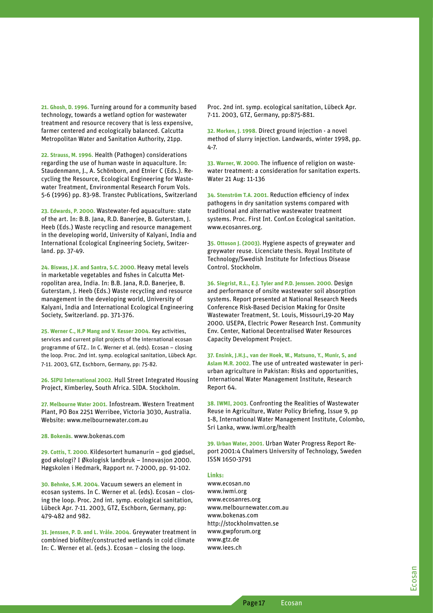**21. Ghosh, D. 1996.** Turning around for a community based technology, towards a wetland option for wastewater treatment and resource recovery that is less expensive, farmer centered and ecologically balanced. Calcutta Metropolitan Water and Sanitation Authority, 21pp.

**22. Strauss, M. 1996.** Health (Pathogen) considerations regarding the use of human waste in aquaculture. In: Staudenmann, J., A. Schönborn, and Etnier C (Eds.). Recycling the Resource, Ecological Engineering for Wastewater Treatment, Environmental Research Forum Vols. 5-6 (1996) pp. 83-98. Transtec Publications, Switzerland

**23. Edwards, P. 2000.** Wastewater-fed aquaculture: state of the art. In: B.B. Jana, R.D. Banerjee, B. Guterstam, J. Heeb (Eds.) Waste recycling and resource management in the developing world, University of Kalyani, India and International Ecological Engineering Society, Switzerland. pp. 37-49.

**24. Biswas, J.K. and Santra, S.C. 2000.** Heavy metal levels in marketable vegetables and fishes in Calcutta Metropolitan area, India. In: B.B. Jana, R.D. Banerjee, B. Guterstam, J. Heeb (Eds.) Waste recycling and resource management in the developing world, University of Kalyani, India and International Ecological Engineering Society, Switzerland. pp. 371-376.

**25. Werner C., H.P Mang and V. Kesser 2004.** Key activities, services and current pilot projects of the international ecosan programme of GTZ.. In C. Werner et al. (eds). Ecosan – closing the loop. Proc. 2nd int. symp. ecological sanitation, Lübeck Apr. 7-11. 2003, GTZ, Eschborn, Germany, pp: 75-82.

**26. SIPU International 2002.** Hull Street Integrated Housing Project, Kimberley, South Africa. SIDA. Stockholm.

**27. Melbourne Water 2001.** Infostream. Western Treatment Plant, PO Box 2251 Werribee, Victoria 3030, Australia. Website: www.melbournewater.com.au

**28. Bokenäs.** www.bokenas.com

**29. Cottis, T. 2000.** Kildesortert humanurin – god gjødsel, god økologi? I Økologisk landbruk – Innovasjon 2000. Høgskolen i Hedmark, Rapport nr. 7-2000, pp. 91-102.

**30. Behnke, S.M. 2004.** Vacuum sewers an element in ecosan systems. In C. Werner et al. (eds). Ecosan – closing the loop. Proc. 2nd int. symp. ecological sanitation, Lübeck Apr. 7-11. 2003, GTZ, Eschborn, Germany, pp: 479-482 and 982.

**31. Jenssen, P. D. and L. Vråle. 2004.** Greywater treatment in combined biofilter/constructed wetlands in cold climate In: C. Werner et al. (eds.). Ecosan – closing the loop.

Proc. 2nd int. symp. ecological sanitation, Lübeck Apr. 7-11. 2003, GTZ, Germany, pp:875-881.

**32. Morken, J. 1998.** Direct ground injection - a novel method of slurry injection. Landwards, winter 1998, pp. 4-7.

**33. Warner, W. 2000.** The influence of religion on wastewater treatment: a consideration for sanitation experts. Water 21 Aug: 11-136

**34. Stenström T.A. 2001.** Reduction efficiency of index pathogens in dry sanitation systems compared with traditional and alternative wastewater treatment systems. Proc. First Int. Conf.on Ecological sanitation. www.ecosanres.org.

3**5. Ottoson J. (2003).** Hygiene aspects of greywater and greywater reuse. Licenciate thesis. Royal Institute of Technology/Swedish Institute for Infectious Disease Control. Stockholm.

**36. Siegrist, R.L., E.J. Tyler and P.D. Jenssen. 2000.** Design and performance of onsite wastewater soil absorption systems. Report presented at National Research Needs Conference Risk-Based Decision Making for Onsite Wastewater Treatment, St. Louis, Missouri,19-20 May 2000. USEPA, Electric Power Research Inst. Community Env. Center, National Decentralised Water Resources Capacity Development Project.

**37. Ensink, J.H.J., van der Hoek, W., Matsuno, Y., Munir, S, and Aslam M.R. 2002.** The use of untreated wastewater in periurban agriculture in Pakistan: Risks and opportunities, International Water Management Institute, Research Report 64.

**38. IWMI, 2003.** Confronting the Realities of Wastewater Reuse in Agriculture, Water Policy Briefing, Issue 9, pp 1-8, International Water Management Institute, Colombo, Sri Lanka, www.iwmi.org/health

**39. Urban Water, 2001.** Urban Water Progress Report Report 2001:4 Chalmers University of Technology, Sweden ISSN 1650-3791

#### **Links:**

www.ecosan.no www.iwmi.org www.ecosanres.org www.melbournewater.com.au www.bokenas.com http://stockholmvatten.se www.gwpforum.org www.gtz.de www.iees.ch